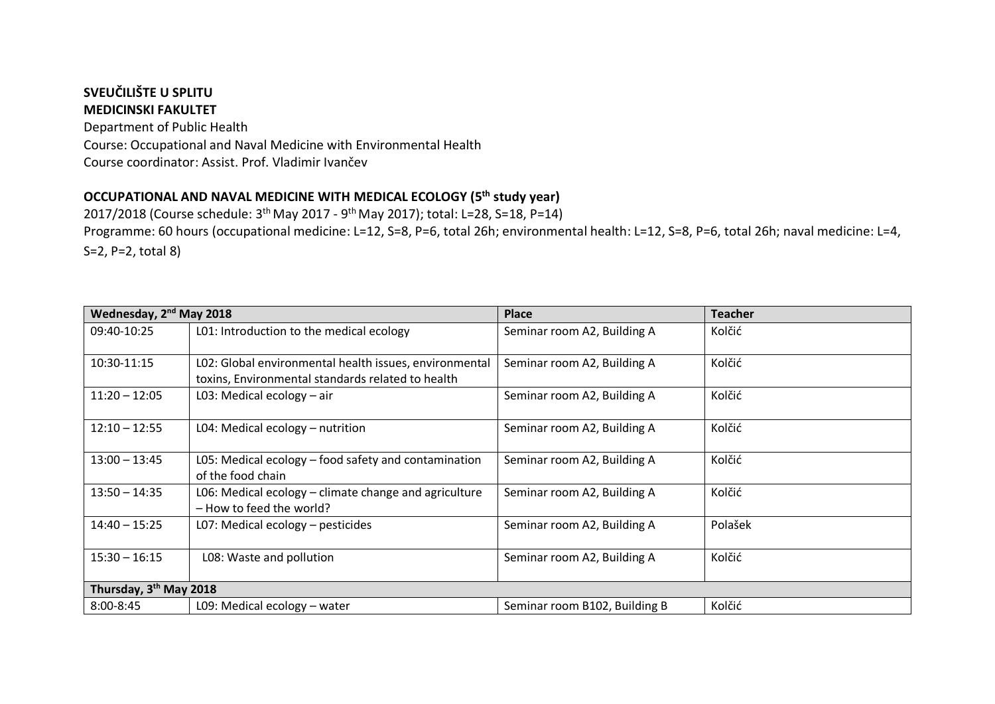## **SVEUČILIŠTE U SPLITU MEDICINSKI FAKULTET**

Department of Public Health Course: Occupational and Naval Medicine with Environmental Health Course coordinator: Assist. Prof. Vladimir Ivančev

## **OCCUPATIONAL AND NAVAL MEDICINE WITH MEDICAL ECOLOGY (5th study year)**

2017/2018 (Course schedule: 3<sup>th</sup> May 2017 - 9<sup>th</sup> May 2017); total: L=28, S=18, P=14) Programme: 60 hours (occupational medicine: L=12, S=8, P=6, total 26h; environmental health: L=12, S=8, P=6, total 26h; naval medicine: L=4,

S=2, P=2, total 8)

| Wednesday, 2 <sup>nd</sup> May 2018 |                                                                                                             | <b>Place</b>                  | <b>Teacher</b> |  |
|-------------------------------------|-------------------------------------------------------------------------------------------------------------|-------------------------------|----------------|--|
| 09:40-10:25                         | L01: Introduction to the medical ecology                                                                    | Seminar room A2, Building A   | Kolčić         |  |
| 10:30-11:15                         | L02: Global environmental health issues, environmental<br>toxins, Environmental standards related to health | Seminar room A2, Building A   | Kolčić         |  |
| $11:20 - 12:05$                     | L03: Medical ecology $-$ air                                                                                | Seminar room A2, Building A   | Kolčić         |  |
| $12:10 - 12:55$                     | L04: Medical ecology - nutrition                                                                            | Seminar room A2, Building A   | Kolčić         |  |
| $13:00 - 13:45$                     | L05: Medical ecology – food safety and contamination<br>of the food chain                                   | Seminar room A2, Building A   | Kolčić         |  |
| $13:50 - 14:35$                     | L06: Medical ecology - climate change and agriculture<br>- How to feed the world?                           | Seminar room A2, Building A   | Kolčić         |  |
| $14:40 - 15:25$                     | L07: Medical ecology - pesticides                                                                           | Seminar room A2, Building A   | Polašek        |  |
| $15:30 - 16:15$                     | L08: Waste and pollution                                                                                    | Seminar room A2, Building A   | Kolčić         |  |
| Thursday, 3 <sup>th</sup> May 2018  |                                                                                                             |                               |                |  |
| $8:00 - 8:45$                       | L09: Medical ecology $-$ water                                                                              | Seminar room B102, Building B | Kolčić         |  |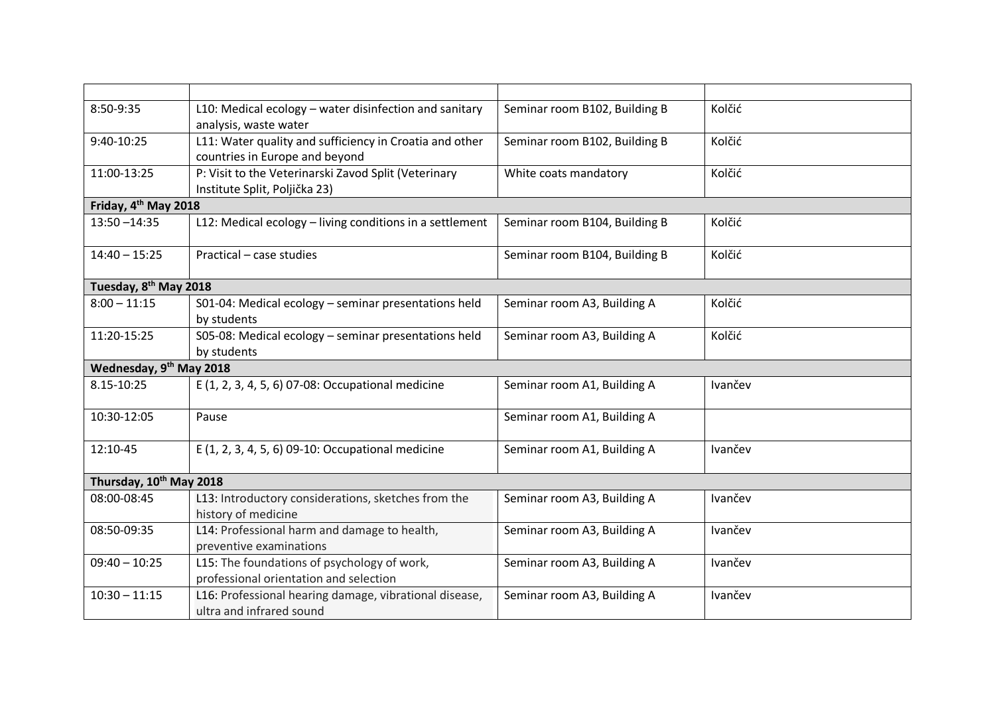| 8:50-9:35                         | L10: Medical ecology - water disinfection and sanitary<br>analysis, waste water           | Seminar room B102, Building B | Kolčić  |
|-----------------------------------|-------------------------------------------------------------------------------------------|-------------------------------|---------|
| 9:40-10:25                        | L11: Water quality and sufficiency in Croatia and other<br>countries in Europe and beyond | Seminar room B102, Building B | Kolčić  |
| 11:00-13:25                       | P: Visit to the Veterinarski Zavod Split (Veterinary<br>Institute Split, Poljička 23)     | White coats mandatory         | Kolčić  |
| Friday, 4 <sup>th</sup> May 2018  |                                                                                           |                               |         |
| $13:50 - 14:35$                   | L12: Medical ecology - living conditions in a settlement                                  | Seminar room B104, Building B | Kolčić  |
| $14:40 - 15:25$                   | Practical - case studies                                                                  | Seminar room B104, Building B | Kolčić  |
| Tuesday, 8 <sup>th</sup> May 2018 |                                                                                           |                               |         |
| $8:00 - 11:15$                    | S01-04: Medical ecology - seminar presentations held<br>by students                       | Seminar room A3, Building A   | Kolčić  |
| 11:20-15:25                       | S05-08: Medical ecology - seminar presentations held<br>by students                       | Seminar room A3, Building A   | Kolčić  |
| Wednesday, 9th May 2018           |                                                                                           |                               |         |
| 8.15-10:25                        | E (1, 2, 3, 4, 5, 6) 07-08: Occupational medicine                                         | Seminar room A1, Building A   | Ivančev |
| 10:30-12:05                       | Pause                                                                                     | Seminar room A1, Building A   |         |
| 12:10-45                          | E (1, 2, 3, 4, 5, 6) 09-10: Occupational medicine                                         | Seminar room A1, Building A   | Ivančev |
| Thursday, 10th May 2018           |                                                                                           |                               |         |
| 08:00-08:45                       | L13: Introductory considerations, sketches from the<br>history of medicine                | Seminar room A3, Building A   | Ivančev |
| 08:50-09:35                       | L14: Professional harm and damage to health,<br>preventive examinations                   | Seminar room A3, Building A   | Ivančev |
| $09:40 - 10:25$                   | L15: The foundations of psychology of work,<br>professional orientation and selection     | Seminar room A3, Building A   | Ivančev |
| $10:30 - 11:15$                   | L16: Professional hearing damage, vibrational disease,<br>ultra and infrared sound        | Seminar room A3, Building A   | Ivančev |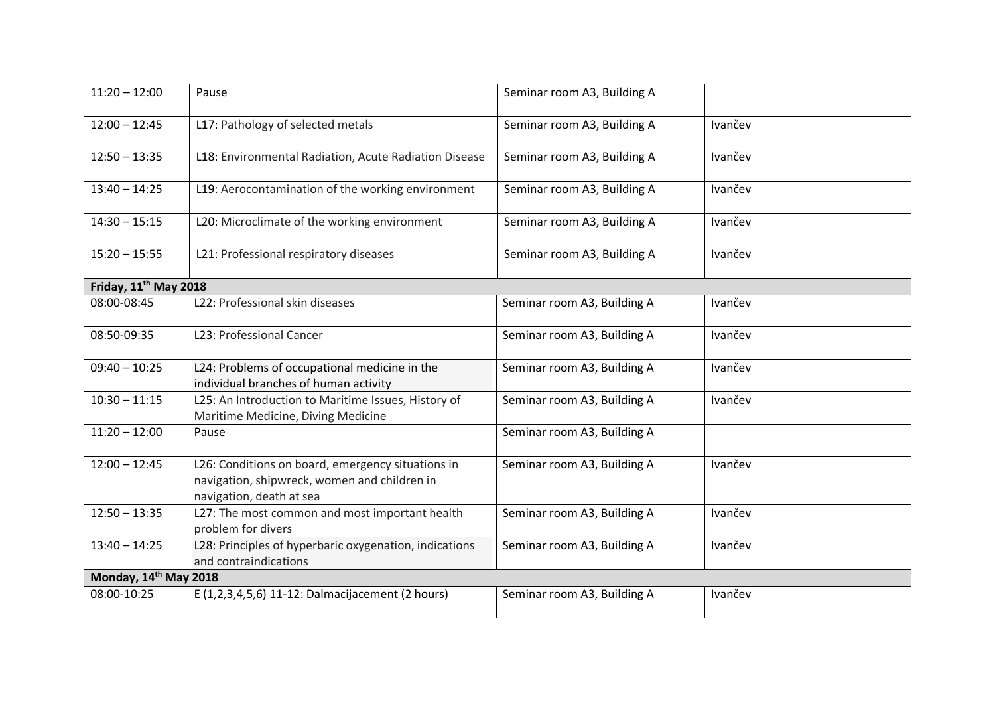| $11:20 - 12:00$                   | Pause                                                                                                                         | Seminar room A3, Building A |         |  |
|-----------------------------------|-------------------------------------------------------------------------------------------------------------------------------|-----------------------------|---------|--|
| $12:00 - 12:45$                   | L17: Pathology of selected metals                                                                                             | Seminar room A3, Building A | Ivančev |  |
| $12:50 - 13:35$                   | L18: Environmental Radiation, Acute Radiation Disease                                                                         | Seminar room A3, Building A | Ivančev |  |
| $13:40 - 14:25$                   | L19: Aerocontamination of the working environment                                                                             | Seminar room A3, Building A | Ivančev |  |
| $14:30 - 15:15$                   | L20: Microclimate of the working environment                                                                                  | Seminar room A3, Building A | Ivančev |  |
| $15:20 - 15:55$                   | L21: Professional respiratory diseases                                                                                        | Seminar room A3, Building A | Ivančev |  |
| Friday, 11 <sup>th</sup> May 2018 |                                                                                                                               |                             |         |  |
| 08:00-08:45                       | L22: Professional skin diseases                                                                                               | Seminar room A3, Building A | Ivančev |  |
| 08:50-09:35                       | L23: Professional Cancer                                                                                                      | Seminar room A3, Building A | Ivančev |  |
| $09:40 - 10:25$                   | L24: Problems of occupational medicine in the<br>individual branches of human activity                                        | Seminar room A3, Building A | Ivančev |  |
| $10:30 - 11:15$                   | L25: An Introduction to Maritime Issues, History of<br>Maritime Medicine, Diving Medicine                                     | Seminar room A3, Building A | Ivančev |  |
| $11:20 - 12:00$                   | Pause                                                                                                                         | Seminar room A3, Building A |         |  |
| $12:00 - 12:45$                   | L26: Conditions on board, emergency situations in<br>navigation, shipwreck, women and children in<br>navigation, death at sea | Seminar room A3, Building A | Ivančev |  |
| $12:50 - 13:35$                   | L27: The most common and most important health<br>problem for divers                                                          | Seminar room A3, Building A | Ivančev |  |
| $13:40 - 14:25$                   | L28: Principles of hyperbaric oxygenation, indications<br>and contraindications                                               | Seminar room A3, Building A | Ivančev |  |
| Monday, 14th May 2018             |                                                                                                                               |                             |         |  |
| 08:00-10:25                       | E (1,2,3,4,5,6) 11-12: Dalmacijacement (2 hours)                                                                              | Seminar room A3, Building A | Ivančev |  |
|                                   |                                                                                                                               |                             |         |  |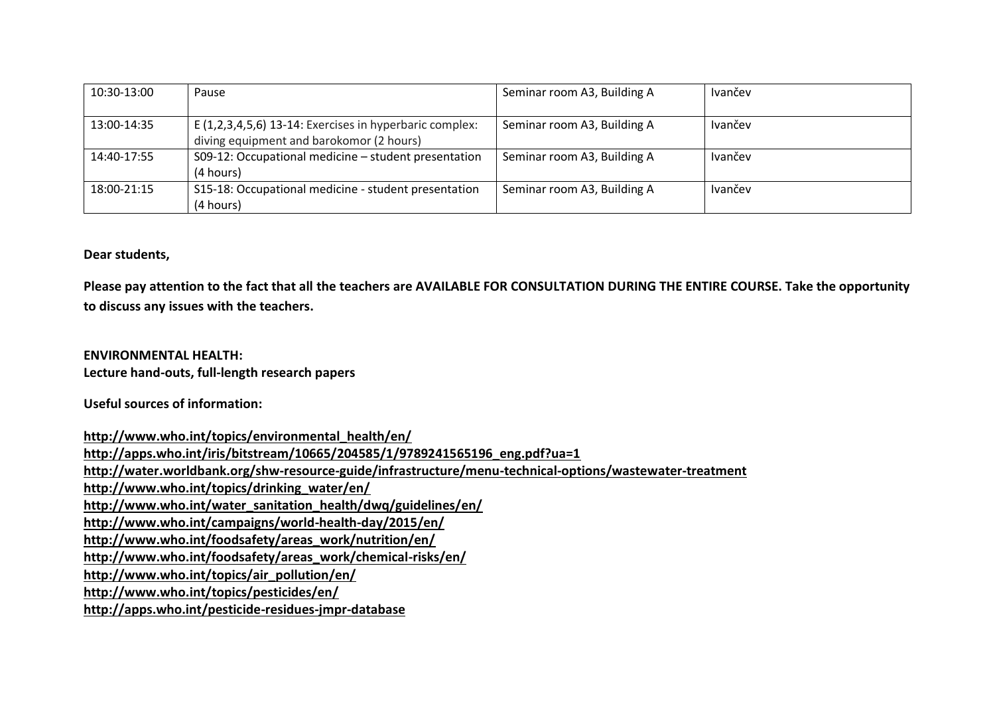| 10:30-13:00 | Pause                                                     | Seminar room A3, Building A | Ivančev |
|-------------|-----------------------------------------------------------|-----------------------------|---------|
|             |                                                           |                             |         |
| 13:00-14:35 | E $(1,2,3,4,5,6)$ 13-14: Exercises in hyperbaric complex: | Seminar room A3, Building A | Ivančev |
|             | diving equipment and barokomor (2 hours)                  |                             |         |
| 14:40-17:55 | S09-12: Occupational medicine - student presentation      | Seminar room A3, Building A | Ivančev |
|             | (4 hours)                                                 |                             |         |
| 18:00-21:15 | S15-18: Occupational medicine - student presentation      | Seminar room A3, Building A | Ivančev |
|             | (4 hours)                                                 |                             |         |

## **Dear students,**

**Please pay attention to the fact that all the teachers are AVAILABLE FOR CONSULTATION DURING THE ENTIRE COURSE. Take the opportunity to discuss any issues with the teachers.**

**ENVIRONMENTAL HEALTH: Lecture hand-outs, full-length research papers**

**Useful sources of information:**

**[http://www.who.int/topics/environmental\\_health/en/](http://www.who.int/topics/environmental_health/en/) [http://apps.who.int/iris/bitstream/10665/204585/1/9789241565196\\_eng.pdf?ua=1](http://apps.who.int/iris/bitstream/10665/204585/1/9789241565196_eng.pdf?ua=1) <http://water.worldbank.org/shw-resource-guide/infrastructure/menu-technical-options/wastewater-treatment> [http://www.who.int/topics/drinking\\_water/en/](http://www.who.int/topics/drinking_water/en/) [http://www.who.int/water\\_sanitation\\_health/dwq/guidelines/en/](http://www.who.int/water_sanitation_health/dwq/guidelines/en/) <http://www.who.int/campaigns/world-health-day/2015/en/> [http://www.who.int/foodsafety/areas\\_work/nutrition/en/](http://www.who.int/foodsafety/areas_work/nutrition/en/) [http://www.who.int/foodsafety/areas\\_work/chemical-risks/en/](http://www.who.int/foodsafety/areas_work/chemical-risks/en/) [http://www.who.int/topics/air\\_pollution/en/](http://www.who.int/topics/air_pollution/en/) <http://www.who.int/topics/pesticides/en/> <http://apps.who.int/pesticide-residues-jmpr-database>**